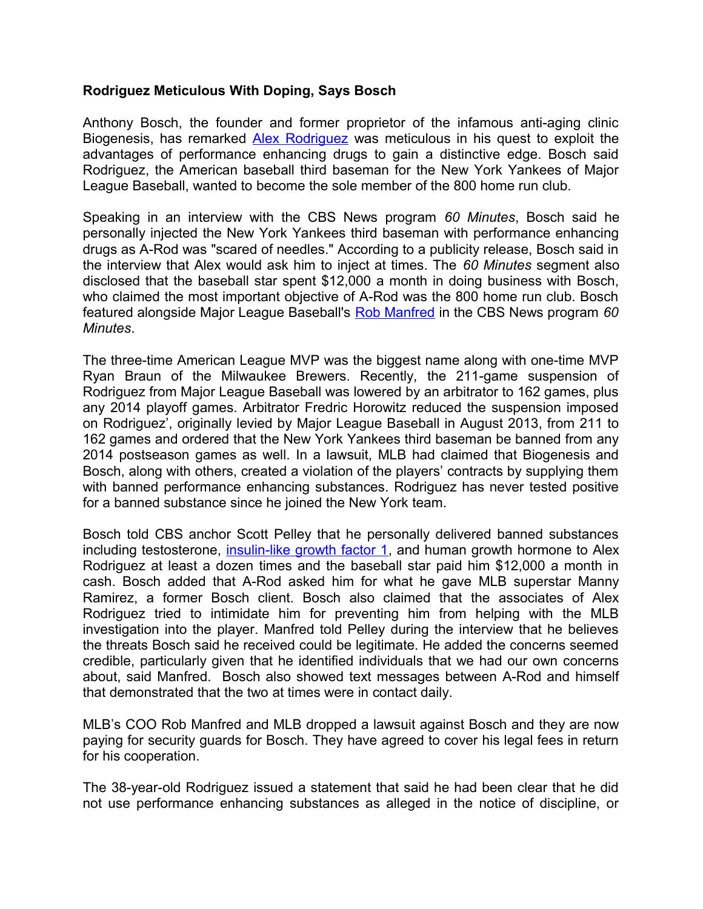## **Rodriguez Meticulous With Doping, Says Bosch**

Anthony Bosch, the founder and former proprietor of the infamous anti-aging clinic Biogenesis, has remarked **Alex Rodriguez** was meticulous in his quest to exploit the advantages of performance enhancing drugs to gain a distinctive edge. Bosch said Rodriguez, the American baseball third baseman for the New York Yankees of Major League Baseball, wanted to become the sole member of the 800 home run club.

Speaking in an interview with the CBS News program *60 Minutes*, Bosch said he personally injected the New York Yankees third baseman with performance enhancing drugs as A-Rod was "scared of needles." According to a publicity release, Bosch said in the interview that Alex would ask him to inject at times. The *60 Minutes* segment also disclosed that the baseball star spent \$12,000 a month in doing business with Bosch, who claimed the most important objective of A-Rod was the 800 home run club. Bosch featured alongside Major League Baseball's [Rob Manfred](http://mlb.mlb.com/mlb/official_info/about_mlb/executives.jsp?bio=manfred_rob) in the CBS News program *60 Minutes*.

The three-time American League MVP was the biggest name along with one-time MVP Ryan Braun of the Milwaukee Brewers. Recently, the 211-game suspension of Rodriguez from Major League Baseball was lowered by an arbitrator to 162 games, plus any 2014 playoff games. Arbitrator Fredric Horowitz reduced the suspension imposed on Rodriguez', originally levied by Major League Baseball in August 2013, from 211 to 162 games and ordered that the New York Yankees third baseman be banned from any 2014 postseason games as well. In a lawsuit, MLB had claimed that Biogenesis and Bosch, along with others, created a violation of the players' contracts by supplying them with banned performance enhancing substances. Rodriguez has never tested positive for a banned substance since he joined the New York team.

Bosch told CBS anchor Scott Pelley that he personally delivered banned substances including testosterone, [insulin-like growth factor 1,](http://www.isteroids.com/steroids/igf-1-lr3.html) and human growth hormone to Alex Rodriguez at least a dozen times and the baseball star paid him \$12,000 a month in cash. Bosch added that A-Rod asked him for what he gave MLB superstar Manny Ramirez, a former Bosch client. Bosch also claimed that the associates of Alex Rodriguez tried to intimidate him for preventing him from helping with the MLB investigation into the player. Manfred told Pelley during the interview that he believes the threats Bosch said he received could be legitimate. He added the concerns seemed credible, particularly given that he identified individuals that we had our own concerns about, said Manfred. Bosch also showed text messages between A-Rod and himself that demonstrated that the two at times were in contact daily.

MLB's COO Rob Manfred and MLB dropped a lawsuit against Bosch and they are now paying for security guards for Bosch. They have agreed to cover his legal fees in return for his cooperation.

The 38-year-old Rodriguez issued a statement that said he had been clear that he did not use performance enhancing substances as alleged in the notice of discipline, or